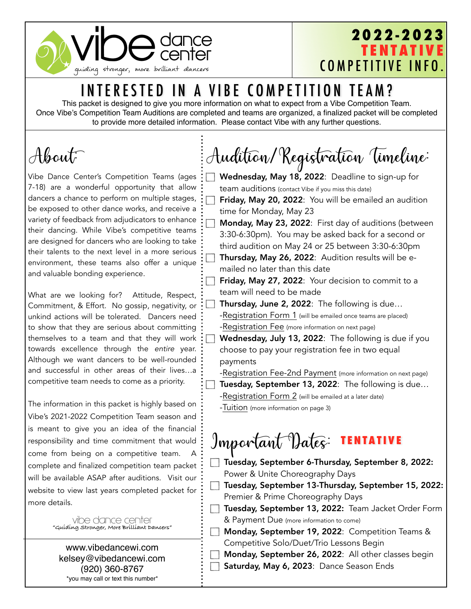

### **2022-2023 TENTATIVE** COMPETITIVE INFO.

### INTERESTED IN A VIBE COMPETITION TEAM?

This packet is designed to give you more information on what to expect from a Vibe Competition Team. Once Vibe's Competition Team Auditions are completed and teams are organized, a finalized packet will be completed to provide more detailed information. Please contact Vibe with any further questions.

# About:

Vibe Dance Center's Competition Teams (ages 7-18) are a wonderful opportunity that allow dancers a chance to perform on multiple stages, be exposed to other dance works, and receive a variety of feedback from adjudicators to enhance their dancing. While Vibe's competitive teams are designed for dancers who are looking to take their talents to the next level in a more serious environment, these teams also offer a unique and valuable bonding experience.

What are we looking for? Attitude, Respect, Commitment, & Effort. No gossip, negativity, or unkind actions will be tolerated. Dancers need to show that they are serious about committing themselves to a team and that they will work towards excellence through the *entire* year. Although we want dancers to be well-rounded and successful in other areas of their lives…a competitive team needs to come as a priority.

The information in this packet is highly based on Vibe's 2021-2022 Competition Team season and is meant to give you an idea of the financial responsibility and time commitment that would come from being on a competitive team. A complete and finalized competition team packet will be available ASAP after auditions. Visit our website to view last years completed packet for more details.

> vibe dance center **"Guiding Stronger, More Brilliant Dancers"**

[www.vibedancewi.com](http://www.vibedancewi.com)  [kelsey@vibedancewi.com](mailto:kelsey@vibedancewi.com)  (920) 360-8767 \*you may call or text this number\*

Audition/Registration Timeline:

Wednesday, May 18, 2022: Deadline to sign-up for team auditions (contact Vibe if you miss this date) Friday, May 20, 2022: You will be emailed an audition time for Monday, May 23 Monday, May 23, 2022: First day of auditions (between 3:30-6:30pm). You may be asked back for a second or third audition on May 24 or 25 between 3:30-6:30pm Thursday, May 26, 2022: Audition results will be emailed no later than this date **Friday, May 27, 2022:** Your decision to commit to a team will need to be made Thursday, June 2, 2022: The following is due… -Registration Form 1 (will be emailed once teams are placed) -Registration Fee (more information on next page) Wednesday, July 13, 2022: The following is due if you choose to pay your registration fee in two equal payments -Registration Fee-2nd Payment (more information on next page) Tuesday, September 13, 2022: The following is due… -Registration Form 2 (will be emailed at a later date)

-Tuition (more information on page 3)

ᄀ

#### Important Dates: **TENTATIVE**

- Tuesday, September 6-Thursday, September 8, 2022: Power & Unite Choreography Days
- Tuesday, September 13-Thursday, September 15, 2022: Premier & Prime Choreography Days
- Tuesday, September 13, 2022: Team Jacket Order Form & Payment Due (more information to come)
- **Monday, September 19, 2022: Competition Teams &** Competitive Solo/Duet/Trio Lessons Begin
	- Monday, September 26, 2022: All other classes begin Saturday, May 6, 2023: Dance Season Ends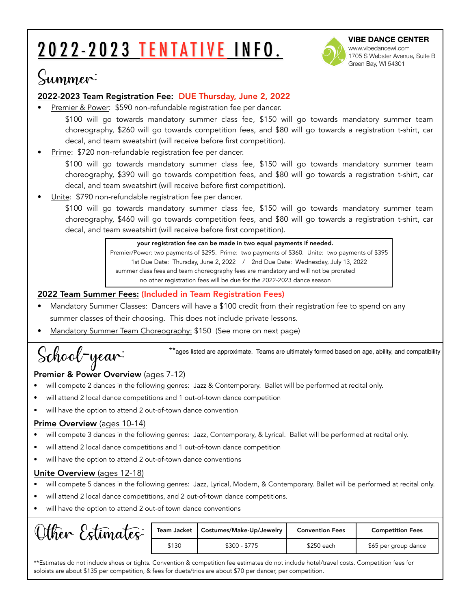# 2022-2023 TENTATIVE INFO.



**VIBE DANCE CENTER**  [www.vibedancewi.com](http://www.vibedancewi.com) 1705 S Webster Avenue, Suite B Green Bay, WI 54301

## Summer:

#### 2022-2023 Team Registration Fee: DUE Thursday, June 2, 2022

Premier & Power: \$590 non-refundable registration fee per dancer.

\$100 will go towards mandatory summer class fee, \$150 will go towards mandatory summer team choreography, \$260 will go towards competition fees, and \$80 will go towards a registration t-shirt, car decal, and team sweatshirt (will receive before first competition).

Prime: \$720 non-refundable registration fee per dancer.

\$100 will go towards mandatory summer class fee, \$150 will go towards mandatory summer team choreography, \$390 will go towards competition fees, and \$80 will go towards a registration t-shirt, car decal, and team sweatshirt (will receive before first competition).

Unite: \$790 non-refundable registration fee per dancer.

\$100 will go towards mandatory summer class fee, \$150 will go towards mandatory summer team choreography, \$460 will go towards competition fees, and \$80 will go towards a registration t-shirt, car decal, and team sweatshirt (will receive before first competition).

> your registration fee can be made in two equal payments if needed. Premier/Power: two payments of \$295. Prime: two payments of \$360. Unite: two payments of \$395 1st Due Date: Thursday, June 2, 2022 / 2nd Due Date: Wednesday, July 13, 2022 summer class fees and team choreography fees are mandatory and will not be prorated no other registration fees will be due for the 2022-2023 dance season

#### 2022 Team Summer Fees: (Included in Team Registration Fees)

- Mandatory Summer Classes: Dancers will have a \$100 credit from their registration fee to spend on any summer classes of their choosing. This does not include private lessons.
- Mandatory Summer Team Choreography: \$150 (See more on next page)

School-year: \*\*ages listed are approximate. Teams are ultimately formed based on age, ability, and compatibility  $\mathcal{S}$ 

#### Premier & Power Overview (ages 7-12)

- will compete 2 dances in the following genres: Jazz & Contemporary. Ballet will be performed at recital only.
- will attend 2 local dance competitions and 1 out-of-town dance competition
- will have the option to attend 2 out-of-town dance convention

#### Prime Overview (ages 10-14)

- will compete 3 dances in the following genres: Jazz, Contemporary, & Lyrical. Ballet will be performed at recital only.
- will attend 2 local dance competitions and 1 out-of-town dance competition
- will have the option to attend 2 out-of-town dance conventions

#### Unite Overview (ages 12-18)

- will compete 5 dances in the following genres: Jazz, Lyrical, Modern, & Contemporary. Ballet will be performed at recital only.
- will attend 2 local dance competitions, and 2 out-of-town dance competitions.
- will have the option to attend 2 out-of town dance conventions

| Stimates:<br>$\mathcal{A}$ ther | Team Jacket | Costumes/Make-Up/Jewelry | <b>Convention Fees</b> | <b>Competition Fees</b> |
|---------------------------------|-------------|--------------------------|------------------------|-------------------------|
|                                 | \$130       | $$300 - $775$            | \$250 each             | \$65 per group dance    |

\*\*Estimates do not include shoes or tights. Convention & competition fee estimates do not include hotel/travel costs. Competition fees for soloists are about \$135 per competition, & fees for duets/trios are about \$70 per dancer, per competition.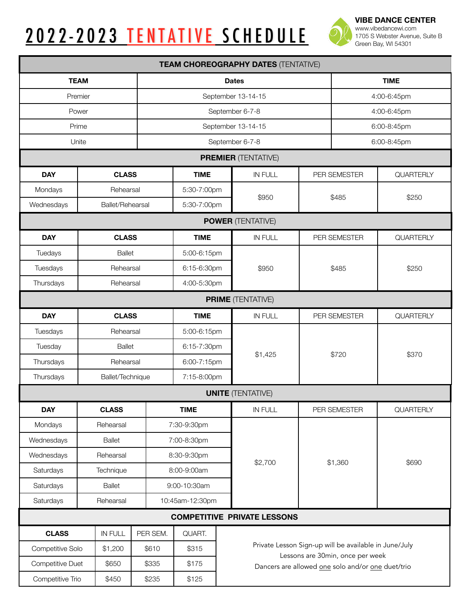|--|



**VIBE DANCE CENTER**  [www.vibedancewi.com](http://www.vibedancewi.com) 1705 S Webster Avenue, Suite B Green Bay, WI 54301

| <b>TEAM CHOREOGRAPHY DATES (TENTATIVE)</b> |                  |          |                 |                                                       |             |                                                   |             |  |  |
|--------------------------------------------|------------------|----------|-----------------|-------------------------------------------------------|-------------|---------------------------------------------------|-------------|--|--|
| <b>TEAM</b>                                |                  |          |                 | <b>TIME</b><br><b>Dates</b>                           |             |                                                   |             |  |  |
| Premier                                    |                  |          |                 | September 13-14-15                                    | 4:00-6:45pm |                                                   |             |  |  |
| Power                                      |                  |          |                 | September 6-7-8                                       | 4:00-6:45pm |                                                   |             |  |  |
| Prime                                      |                  |          |                 | September 13-14-15                                    |             |                                                   | 6:00-8:45pm |  |  |
| Unite                                      |                  |          |                 | September 6-7-8                                       |             |                                                   | 6:00-8:45pm |  |  |
|                                            |                  |          |                 | <b>PREMIER (TENTATIVE)</b>                            |             |                                                   |             |  |  |
| <b>DAY</b>                                 | <b>CLASS</b>     |          | <b>TIME</b>     | <b>IN FULL</b>                                        |             | PER SEMESTER                                      | QUARTERLY   |  |  |
| Mondays<br>Rehearsal                       |                  |          | 5:30-7:00pm     |                                                       |             |                                                   |             |  |  |
| Wednesdays<br>Ballet/Rehearsal             |                  |          | 5:30-7:00pm     | \$950                                                 |             | \$485                                             | \$250       |  |  |
| <b>POWER (TENTATIVE)</b>                   |                  |          |                 |                                                       |             |                                                   |             |  |  |
| <b>DAY</b>                                 | <b>CLASS</b>     |          | <b>TIME</b>     | <b>IN FULL</b>                                        |             | PER SEMESTER                                      | QUARTERLY   |  |  |
| Tuedays<br><b>Ballet</b>                   |                  |          | 5:00-6:15pm     |                                                       |             |                                                   |             |  |  |
| Tuesdays<br>Rehearsal                      |                  |          | 6:15-6:30pm     | \$950                                                 | \$485       |                                                   | \$250       |  |  |
| Thursdays<br>Rehearsal                     |                  |          | 4:00-5:30pm     |                                                       |             |                                                   |             |  |  |
| <b>PRIME (TENTATIVE)</b>                   |                  |          |                 |                                                       |             |                                                   |             |  |  |
| <b>DAY</b><br><b>CLASS</b>                 |                  |          | <b>TIME</b>     | <b>IN FULL</b>                                        |             | PER SEMESTER                                      | QUARTERLY   |  |  |
| Tuesdays                                   | Rehearsal        |          | 5:00-6:15pm     |                                                       |             |                                                   |             |  |  |
| Tuesday                                    | <b>Ballet</b>    |          | 6:15-7:30pm     |                                                       | \$720       |                                                   | \$370       |  |  |
| Thursdays                                  | Rehearsal        |          | 6:00-7:15pm     | \$1,425                                               |             |                                                   |             |  |  |
| Thursdays                                  | Ballet/Technique |          | 7:15-8:00pm     |                                                       |             |                                                   |             |  |  |
|                                            |                  |          |                 | <b>UNITE (TENTATIVE)</b>                              |             |                                                   |             |  |  |
| <b>DAY</b>                                 | <b>CLASS</b>     |          | <b>TIME</b>     | IN FULL                                               |             | PER SEMESTER                                      | QUARTERLY   |  |  |
| Mondays                                    | Rehearsal        |          | 7:30-9:30pm     |                                                       |             |                                                   |             |  |  |
| Wednesdays                                 | <b>Ballet</b>    |          | 7:00-8:30pm     |                                                       |             |                                                   |             |  |  |
| Wednesdays<br>Rehearsal                    |                  |          | 8:30-9:30pm     | \$2,700                                               |             |                                                   | \$690       |  |  |
| Saturdays<br>Technique                     |                  |          | 8:00-9:00am     |                                                       | \$1,360     |                                                   |             |  |  |
| Saturdays<br><b>Ballet</b>                 |                  |          | 9:00-10:30am    |                                                       |             |                                                   |             |  |  |
| Saturdays<br>Rehearsal                     |                  |          | 10:45am-12:30pm |                                                       |             |                                                   |             |  |  |
|                                            |                  |          |                 | <b>COMPETITIVE PRIVATE LESSONS</b>                    |             |                                                   |             |  |  |
| <b>CLASS</b>                               | <b>IN FULL</b>   | PER SEM. | QUART.          |                                                       |             |                                                   |             |  |  |
| Competitive Solo                           | \$1,200          | \$610    | \$315           | Private Lesson Sign-up will be available in June/July |             | Lessons are 30min, once per week                  |             |  |  |
| Competitive Duet                           | \$650            | \$335    | \$175           |                                                       |             | Dancers are allowed one solo and/or one duet/trio |             |  |  |
| Competitive Trio                           | \$450            | \$235    | \$125           |                                                       |             |                                                   |             |  |  |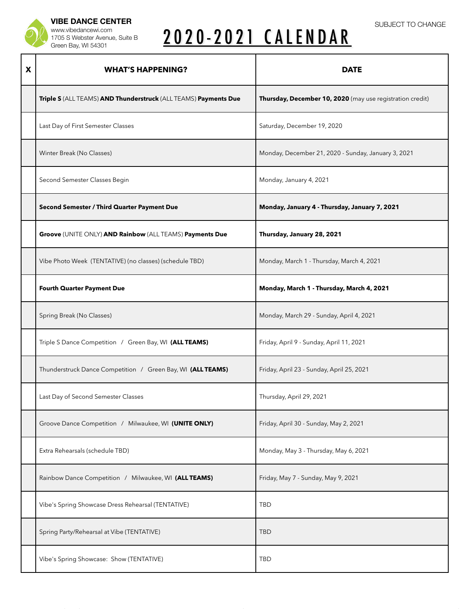

**VIBE DANCE CENTER**  [www.vibedancewi.com](http://www.vibedancewi.com) 1705 S Webster Avenue, Suite B Green Bay, WI 54301

# 2020-2021 CALENDAR

| X | <b>WHAT'S HAPPENING?</b>                                        | <b>DATE</b>                                               |  |  |  |
|---|-----------------------------------------------------------------|-----------------------------------------------------------|--|--|--|
|   | Triple S (ALL TEAMS) AND Thunderstruck (ALL TEAMS) Payments Due | Thursday, December 10, 2020 (may use registration credit) |  |  |  |
|   | Last Day of First Semester Classes                              | Saturday, December 19, 2020                               |  |  |  |
|   | Winter Break (No Classes)                                       | Monday, December 21, 2020 - Sunday, January 3, 2021       |  |  |  |
|   | Second Semester Classes Begin                                   | Monday, January 4, 2021                                   |  |  |  |
|   | Second Semester / Third Quarter Payment Due                     | Monday, January 4 - Thursday, January 7, 2021             |  |  |  |
|   | Groove (UNITE ONLY) AND Rainbow (ALL TEAMS) Payments Due        | Thursday, January 28, 2021                                |  |  |  |
|   | Vibe Photo Week (TENTATIVE) (no classes) (schedule TBD)         | Monday, March 1 - Thursday, March 4, 2021                 |  |  |  |
|   | <b>Fourth Quarter Payment Due</b>                               | Monday, March 1 - Thursday, March 4, 2021                 |  |  |  |
|   | Spring Break (No Classes)                                       | Monday, March 29 - Sunday, April 4, 2021                  |  |  |  |
|   | Triple S Dance Competition / Green Bay, WI (ALL TEAMS)          | Friday, April 9 - Sunday, April 11, 2021                  |  |  |  |
|   | Thunderstruck Dance Competition / Green Bay, WI (ALL TEAMS)     | Friday, April 23 - Sunday, April 25, 2021                 |  |  |  |
|   | Last Day of Second Semester Classes                             | Thursday, April 29, 2021                                  |  |  |  |
|   | Groove Dance Competition / Milwaukee, WI (UNITE ONLY)           | Friday, April 30 - Sunday, May 2, 2021                    |  |  |  |
|   | Extra Rehearsals (schedule TBD)                                 | Monday, May 3 - Thursday, May 6, 2021                     |  |  |  |
|   | Rainbow Dance Competition / Milwaukee, WI (ALL TEAMS)           | Friday, May 7 - Sunday, May 9, 2021                       |  |  |  |
|   | Vibe's Spring Showcase Dress Rehearsal (TENTATIVE)              | TBD                                                       |  |  |  |
|   | Spring Party/Rehearsal at Vibe (TENTATIVE)                      | <b>TBD</b>                                                |  |  |  |
|   | Vibe's Spring Showcase: Show (TENTATIVE)                        | TBD                                                       |  |  |  |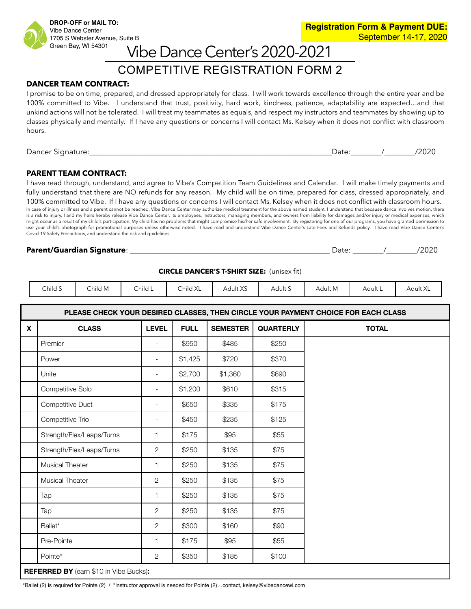### COMPETITIVE REGISTRATION FORM 2 Vibe Dance Center's 2020-2021

#### **DANCER TEAM CONTRACT:**

I promise to be on time, prepared, and dressed appropriately for class. I will work towards excellence through the entire year and be 100% committed to Vibe. I understand that trust, positivity, hard work, kindness, patience, adaptability are expected…and that unkind actions will not be tolerated. I will treat my teammates as equals, and respect my instructors and teammates by showing up to classes physically and mentally. If I have any questions or concerns I will contact Ms. Kelsey when it does not conflict with classroom hours.

| $\overline{\phantom{0}}$<br>$D$ ancer<br><br>ו זר | ירנ<br>- U U U | ,,<br>$\overline{\phantom{0}}$ |
|---------------------------------------------------|----------------|--------------------------------|
|                                                   |                |                                |

#### **PARENT TEAM CONTRACT:**

I have read through, understand, and agree to Vibe's Competition Team Guidelines and Calendar. I will make timely payments and fully understand that there are NO refunds for any reason. My child will be on time, prepared for class, dressed appropriately, and 100% committed to Vibe. If I have any questions or concerns I will contact Ms. Kelsey when it does not conflict with classroom hours. In case of injury or illness and a parent cannot be reached, Vibe Dance Center may authorize medical treatment for the above named student. I understand that because dance involves motion, there is a risk to injury. I and my heirs hereby release Vibe Dance Center, its employees, instructors, managing members, and owners from liability for damages and/or injury or medical expenses, which might occur as a result of my child's participation. My child has no problems that might compromise his/her safe involvement. By registering for one of our programs, you have granted permission to use your child's photograph for promotional purposes unless otherwise noted. I have read and understand Vibe Dance Center's Late Fees and Refunds policy. I have read Vibe Dance Center's Covid-19 Safety Precautions, and understand the risk and guidelines.

#### **Parent/Guardian Signature**: \_\_\_\_\_\_\_\_\_\_\_\_\_\_\_\_\_\_\_\_\_\_\_\_\_\_\_\_\_\_\_\_\_\_\_\_\_\_\_\_\_\_\_\_\_\_\_\_\_\_\_\_ Date: \_\_\_\_\_\_\_\_/\_\_\_\_\_\_\_\_/2020

| ate: | /2020 |
|------|-------|
|------|-------|

| <b>CIRCLE DANCER'S T-SHIRT SIZE:</b> (unisex fit) |  |
|---------------------------------------------------|--|
|---------------------------------------------------|--|

| Child S | Child M                                   | Child L | Child XL | Adult XS | Adult S | Adult M | Adult ∟ | – Adult X∟ |
|---------|-------------------------------------------|---------|----------|----------|---------|---------|---------|------------|
|         | $\sim$ $\sim$ $\sim$ $\sim$ $\sim$ $\sim$ |         |          |          |         |         |         |            |

|             | PLEASE CHECK YOUR DESIRED CLASSES, THEN CIRCLE YOUR PAYMENT CHOICE FOR EACH CLASS |                          |             |                 |                  |              |  |  |  |  |
|-------------|-----------------------------------------------------------------------------------|--------------------------|-------------|-----------------|------------------|--------------|--|--|--|--|
| $\mathbf x$ | <b>CLASS</b>                                                                      | <b>LEVEL</b>             | <b>FULL</b> | <b>SEMESTER</b> | <b>QUARTERLY</b> | <b>TOTAL</b> |  |  |  |  |
|             | Premier                                                                           | $\overline{\phantom{a}}$ | \$950       | \$485           | \$250            |              |  |  |  |  |
|             | Power                                                                             | $\overline{\phantom{a}}$ | \$1,425     | \$720           | \$370            |              |  |  |  |  |
|             | Unite                                                                             | $\overline{\phantom{a}}$ | \$2,700     | \$1,360         | \$690            |              |  |  |  |  |
|             | Competitive Solo                                                                  | $\overline{\phantom{a}}$ | \$1,200     | \$610           | \$315            |              |  |  |  |  |
|             | Competitive Duet                                                                  | $\overline{\phantom{a}}$ | \$650       | \$335           | \$175            |              |  |  |  |  |
|             | Competitive Trio                                                                  | $\blacksquare$           | \$450       | \$235           | \$125            |              |  |  |  |  |
|             | Strength/Flex/Leaps/Turns                                                         | $\mathbf{1}$             | \$175       | \$95            | \$55             |              |  |  |  |  |
|             | Strength/Flex/Leaps/Turns                                                         | $\overline{2}$           | \$250       | \$135           | \$75             |              |  |  |  |  |
|             | Musical Theater                                                                   | $\mathbf{1}$             | \$250       | \$135           | \$75             |              |  |  |  |  |
|             | Musical Theater                                                                   | $\overline{2}$           | \$250       | \$135           | \$75             |              |  |  |  |  |
|             | Tap                                                                               | $\mathbf{1}$             | \$250       | \$135           | \$75             |              |  |  |  |  |
|             | Tap                                                                               | $\mathbf{2}^{\prime}$    | \$250       | \$135           | \$75             |              |  |  |  |  |
|             | Ballet*                                                                           | $\overline{2}$           | \$300       | \$160           | \$90             |              |  |  |  |  |
|             | Pre-Pointe                                                                        | $\mathbf{1}$             | \$175       | \$95            | \$55             |              |  |  |  |  |
|             | Pointe*                                                                           | $\mathbf{2}^{\prime}$    | \$350       | \$185           | \$100            |              |  |  |  |  |
|             | <b>REFERRED BY</b> (earn \$10 in Vibe Bucks):                                     |                          |             |                 |                  |              |  |  |  |  |

\*Ballet (2) is required for Pointe (2) / \*Instructor approval is needed for Pointe (2)…contact, [kelsey@vibedancewi.com](mailto:kelsey@vibedancewi.com)